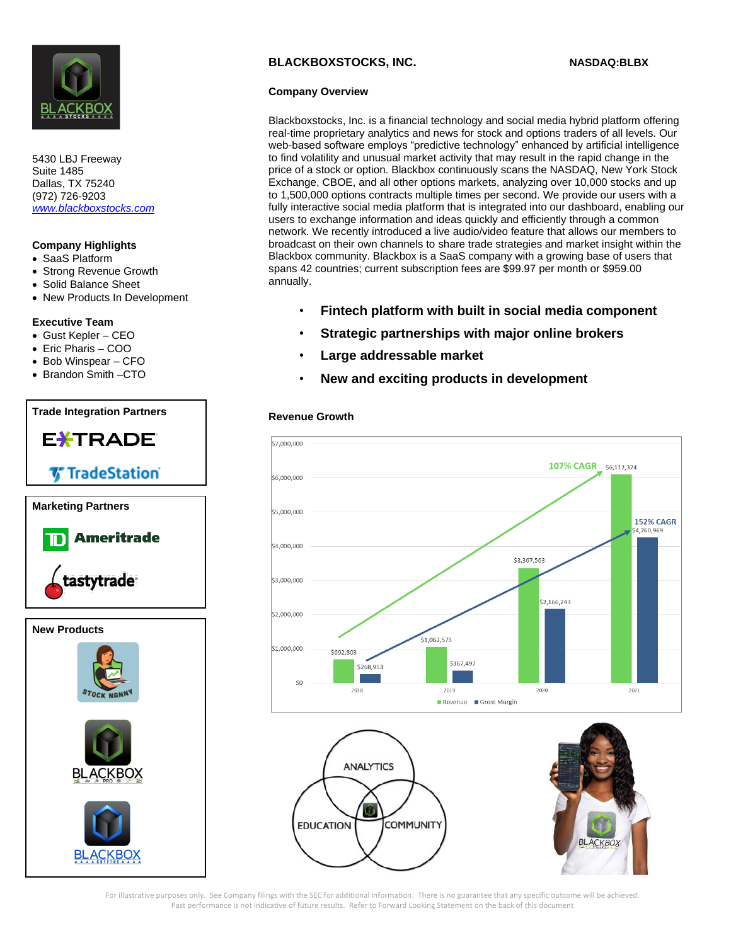

5430 LBJ Freeway Suite 1485 Dallas, TX 75240 (972) 726-9203 *[www.blackboxstocks.com](http://www.blackboxstocks.com/)*

# **Company Highlights**

- SaaS Platform
- Strong Revenue Growth
- Solid Balance Sheet
- New Products In Development

### **Executive Team**

- Gust Kepler CEO
- Eric Pharis COO
- Bob Winspear CFO
- Brandon Smith –CTO

# **Trade Integration Partners** E<del>X</del>TRADE® **V** TradeStation **Marketing Partners** Ameritrade tastytrade **New Products**

## **BLACKBOXSTOCKS, INC. NASDAQ:BLBX**

#### **Company Overview**

Blackboxstocks, Inc. is a financial technology and social media hybrid platform offering real-time proprietary analytics and news for stock and options traders of all levels. Our web-based software employs "predictive technology" enhanced by artificial intelligence to find volatility and unusual market activity that may result in the rapid change in the price of a stock or option. Blackbox continuously scans the NASDAQ, New York Stock Exchange, CBOE, and all other options markets, analyzing over 10,000 stocks and up to 1,500,000 options contracts multiple times per second. We provide our users with a fully interactive social media platform that is integrated into our dashboard, enabling our users to exchange information and ideas quickly and efficiently through a common network. We recently introduced a live audio/video feature that allows our members to broadcast on their own channels to share trade strategies and market insight within the Blackbox community. Blackbox is a SaaS company with a growing base of users that spans 42 countries; current subscription fees are \$99.97 per month or \$959.00 annually.

- **Fintech platform with built in social media component**
- **Strategic partnerships with major online brokers**
- **Large addressable market**
- **New and exciting products in development**

#### **Revenue Growth**







For illustrative purposes only. See Company filings with the SEC for additional information. There is no guarantee that any specific outcome will be achieved. Past performance is not indicative of future results. Refer to Forward Looking Statement on the back of this document